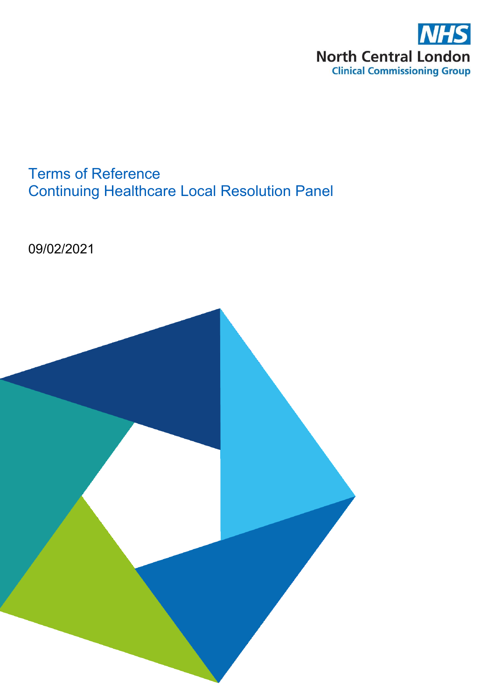

# Terms of Reference Continuing Healthcare Local Resolution Panel

09/02/2021

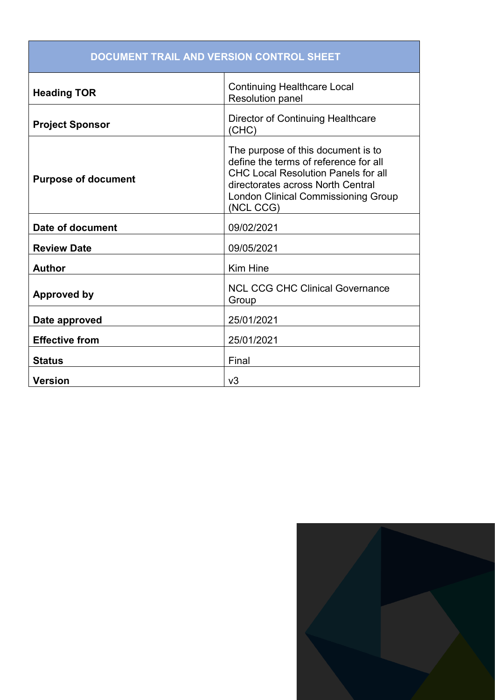| DOCUMENT TRAIL AND VERSION CONTROL SHEET |                                                                                                                                                                                                                           |
|------------------------------------------|---------------------------------------------------------------------------------------------------------------------------------------------------------------------------------------------------------------------------|
| <b>Heading TOR</b>                       | <b>Continuing Healthcare Local</b><br><b>Resolution panel</b>                                                                                                                                                             |
| <b>Project Sponsor</b>                   | <b>Director of Continuing Healthcare</b><br>(CHC)                                                                                                                                                                         |
| <b>Purpose of document</b>               | The purpose of this document is to<br>define the terms of reference for all<br><b>CHC Local Resolution Panels for all</b><br>directorates across North Central<br><b>London Clinical Commissioning Group</b><br>(NCL CCG) |
| Date of document                         | 09/02/2021                                                                                                                                                                                                                |
| <b>Review Date</b>                       | 09/05/2021                                                                                                                                                                                                                |
| <b>Author</b>                            | <b>Kim Hine</b>                                                                                                                                                                                                           |
| <b>Approved by</b>                       | <b>NCL CCG CHC Clinical Governance</b><br>Group                                                                                                                                                                           |
| Date approved                            | 25/01/2021                                                                                                                                                                                                                |
| <b>Effective from</b>                    | 25/01/2021                                                                                                                                                                                                                |
| <b>Status</b>                            | Final                                                                                                                                                                                                                     |
| <b>Version</b>                           | v3                                                                                                                                                                                                                        |

#### **DOCUMENT TRAIL AND VERSION CONTROL SHEET**

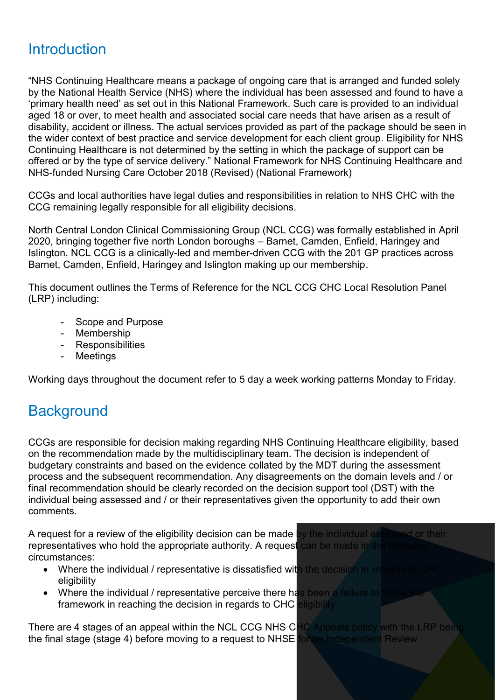### **Introduction**

"NHS Continuing Healthcare means a package of ongoing care that is arranged and funded solely by the National Health Service (NHS) where the individual has been assessed and found to have a 'primary health need' as set out in this National Framework. Such care is provided to an individual aged 18 or over, to meet health and associated social care needs that have arisen as a result of disability, accident or illness. The actual services provided as part of the package should be seen in the wider context of best practice and service development for each client group. Eligibility for NHS Continuing Healthcare is not determined by the setting in which the package of support can be offered or by the type of service delivery." National Framework for NHS Continuing Healthcare and NHS-funded Nursing Care October 2018 (Revised) (National Framework)

CCGs and local authorities have legal duties and responsibilities in relation to NHS CHC with the CCG remaining legally responsible for all eligibility decisions.

North Central London Clinical Commissioning Group (NCL CCG) was formally established in April 2020, bringing together five north London boroughs – Barnet, Camden, Enfield, Haringey and Islington. NCL CCG is a clinically-led and member-driven CCG with the 201 GP practices across Barnet, Camden, Enfield, Haringey and Islington making up our membership.

This document outlines the Terms of Reference for the NCL CCG CHC Local Resolution Panel (LRP) including:

- Scope and Purpose
- Membership
- Responsibilities
- Meetings

Working days throughout the document refer to 5 day a week working patterns Monday to Friday.

## **Background**

CCGs are responsible for decision making regarding NHS Continuing Healthcare eligibility, based on the recommendation made by the multidisciplinary team. The decision is independent of budgetary constraints and based on the evidence collated by the MDT during the assessment process and the subsequent recommendation. Any disagreements on the domain levels and / or final recommendation should be clearly recorded on the decision support tool (DST) with the individual being assessed and / or their representatives given the opportunity to add their own comments.

A request for a review of the eligibility decision can be made by the individual assessed or their representatives who hold the appropriate authority. A request can be made in the circumstances:

- Where the individual / representative is dissatisfied with the decision in regards eligibility
- Where the individual / representative perceive there has been a failure to framework in reaching the decision in regards to CHC eligibility

There are 4 stages of an appeal within the NCL CCG NHS CHC Appeals policy with the LRP being the final stage (stage 4) before moving to a request to NHSE for an Independent Review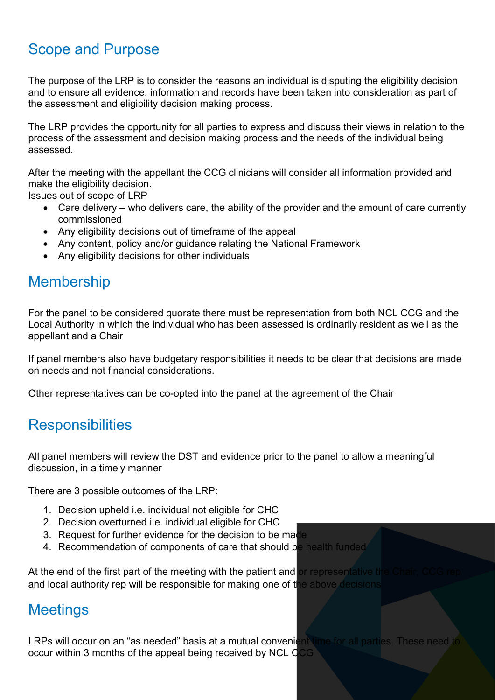# Scope and Purpose

The purpose of the LRP is to consider the reasons an individual is disputing the eligibility decision and to ensure all evidence, information and records have been taken into consideration as part of the assessment and eligibility decision making process.

The LRP provides the opportunity for all parties to express and discuss their views in relation to the process of the assessment and decision making process and the needs of the individual being assessed.

After the meeting with the appellant the CCG clinicians will consider all information provided and make the eligibility decision.

Issues out of scope of LRP

- Care delivery who delivers care, the ability of the provider and the amount of care currently commissioned
- Any eligibility decisions out of timeframe of the appeal
- Any content, policy and/or guidance relating the National Framework
- Any eligibility decisions for other individuals

#### Membership

For the panel to be considered quorate there must be representation from both NCL CCG and the Local Authority in which the individual who has been assessed is ordinarily resident as well as the appellant and a Chair

If panel members also have budgetary responsibilities it needs to be clear that decisions are made on needs and not financial considerations.

Other representatives can be co-opted into the panel at the agreement of the Chair

#### **Responsibilities**

All panel members will review the DST and evidence prior to the panel to allow a meaningful discussion, in a timely manner

There are 3 possible outcomes of the LRP:

- 1. Decision upheld i.e. individual not eligible for CHC
- 2. Decision overturned i.e. individual eligible for CHC
- 3. Request for further evidence for the decision to be made
- 4. Recommendation of components of care that should be health funded

At the end of the first part of the meeting with the patient and or representative the and local authority rep will be responsible for making one of the above decisions

#### **Meetings**

LRPs will occur on an "as needed" basis at a mutual convenient time for all parties. These need to occur within 3 months of the appeal being received by NCL CCG